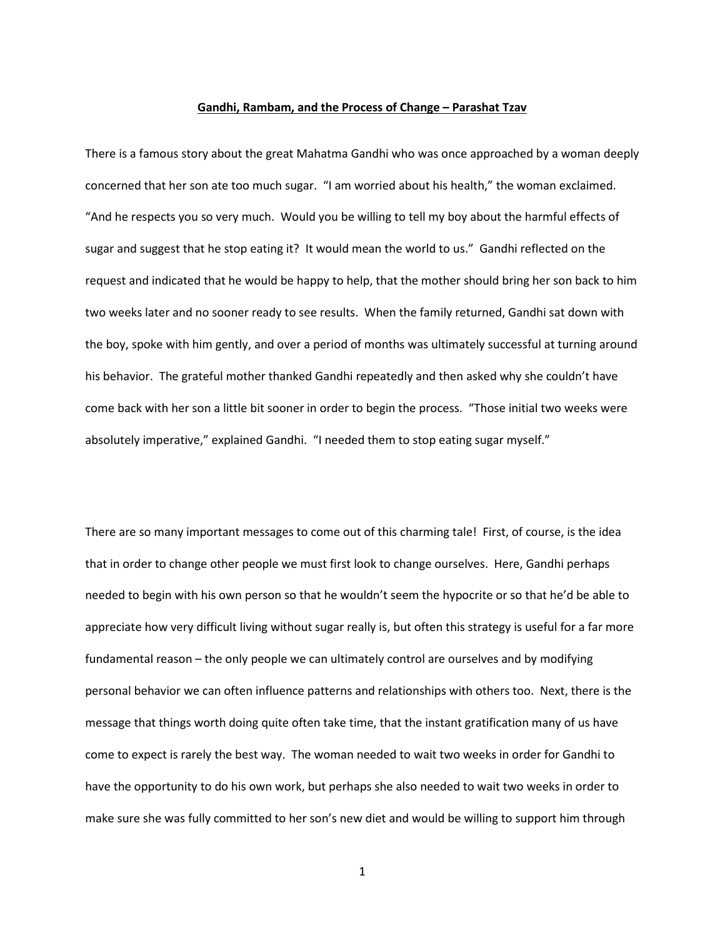## **Gandhi, Rambam, and the Process of Change – Parashat Tzav**

There is a famous story about the great Mahatma Gandhi who was once approached by a woman deeply concerned that her son ate too much sugar. "I am worried about his health," the woman exclaimed. "And he respects you so very much. Would you be willing to tell my boy about the harmful effects of sugar and suggest that he stop eating it? It would mean the world to us." Gandhi reflected on the request and indicated that he would be happy to help, that the mother should bring her son back to him two weeks later and no sooner ready to see results. When the family returned, Gandhi sat down with the boy, spoke with him gently, and over a period of months was ultimately successful at turning around his behavior. The grateful mother thanked Gandhi repeatedly and then asked why she couldn't have come back with her son a little bit sooner in order to begin the process. "Those initial two weeks were absolutely imperative," explained Gandhi. "I needed them to stop eating sugar myself."

There are so many important messages to come out of this charming tale! First, of course, is the idea that in order to change other people we must first look to change ourselves. Here, Gandhi perhaps needed to begin with his own person so that he wouldn't seem the hypocrite or so that he'd be able to appreciate how very difficult living without sugar really is, but often this strategy is useful for a far more fundamental reason – the only people we can ultimately control are ourselves and by modifying personal behavior we can often influence patterns and relationships with others too. Next, there is the message that things worth doing quite often take time, that the instant gratification many of us have come to expect is rarely the best way. The woman needed to wait two weeks in order for Gandhi to have the opportunity to do his own work, but perhaps she also needed to wait two weeks in order to make sure she was fully committed to her son's new diet and would be willing to support him through

1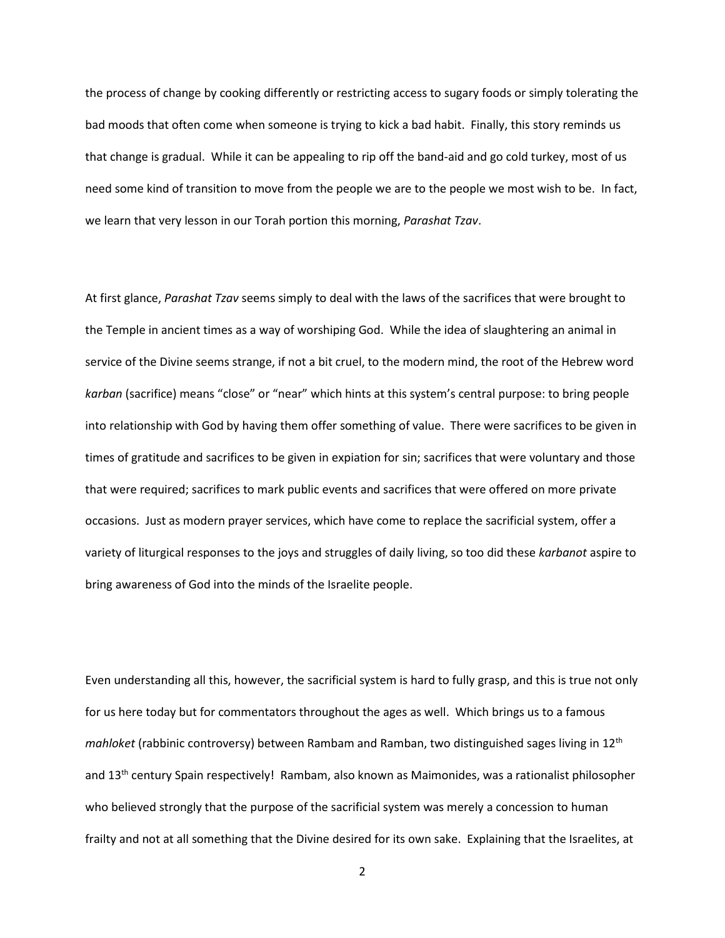the process of change by cooking differently or restricting access to sugary foods or simply tolerating the bad moods that often come when someone is trying to kick a bad habit. Finally, this story reminds us that change is gradual. While it can be appealing to rip off the band-aid and go cold turkey, most of us need some kind of transition to move from the people we are to the people we most wish to be. In fact, we learn that very lesson in our Torah portion this morning, *Parashat Tzav*.

At first glance, *Parashat Tzav* seems simply to deal with the laws of the sacrifices that were brought to the Temple in ancient times as a way of worshiping God. While the idea of slaughtering an animal in service of the Divine seems strange, if not a bit cruel, to the modern mind, the root of the Hebrew word *karban* (sacrifice) means "close" or "near" which hints at this system's central purpose: to bring people into relationship with God by having them offer something of value. There were sacrifices to be given in times of gratitude and sacrifices to be given in expiation for sin; sacrifices that were voluntary and those that were required; sacrifices to mark public events and sacrifices that were offered on more private occasions. Just as modern prayer services, which have come to replace the sacrificial system, offer a variety of liturgical responses to the joys and struggles of daily living, so too did these *karbanot* aspire to bring awareness of God into the minds of the Israelite people.

Even understanding all this, however, the sacrificial system is hard to fully grasp, and this is true not only for us here today but for commentators throughout the ages as well. Which brings us to a famous *mahloket* (rabbinic controversy) between Rambam and Ramban, two distinguished sages living in 12th and 13<sup>th</sup> century Spain respectively! Rambam, also known as Maimonides, was a rationalist philosopher who believed strongly that the purpose of the sacrificial system was merely a concession to human frailty and not at all something that the Divine desired for its own sake. Explaining that the Israelites, at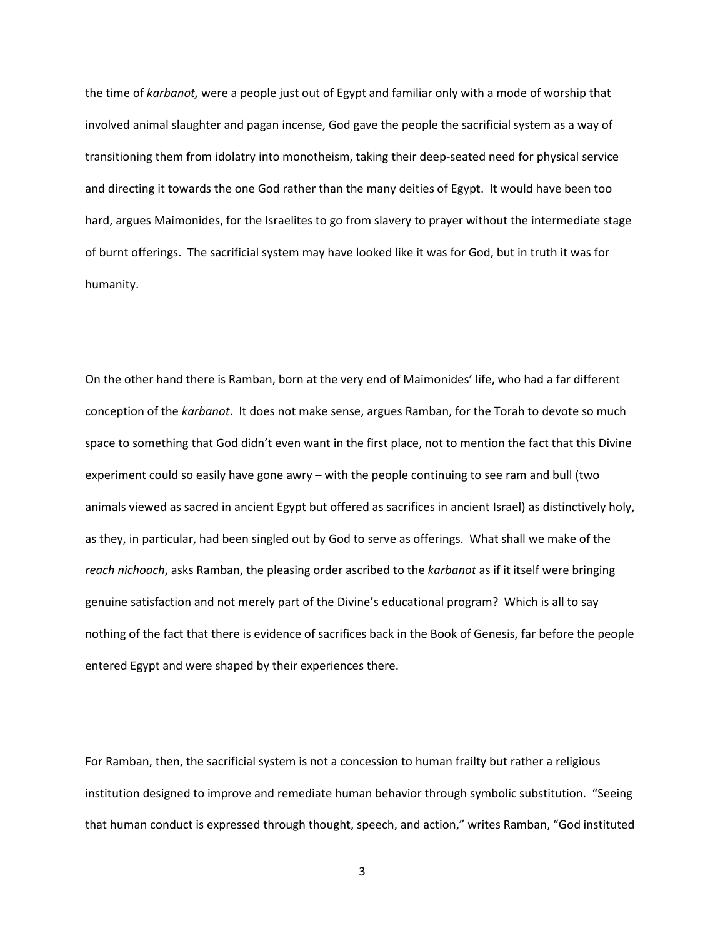the time of *karbanot,* were a people just out of Egypt and familiar only with a mode of worship that involved animal slaughter and pagan incense, God gave the people the sacrificial system as a way of transitioning them from idolatry into monotheism, taking their deep-seated need for physical service and directing it towards the one God rather than the many deities of Egypt. It would have been too hard, argues Maimonides, for the Israelites to go from slavery to prayer without the intermediate stage of burnt offerings. The sacrificial system may have looked like it was for God, but in truth it was for humanity.

On the other hand there is Ramban, born at the very end of Maimonides' life, who had a far different conception of the *karbanot*. It does not make sense, argues Ramban, for the Torah to devote so much space to something that God didn't even want in the first place, not to mention the fact that this Divine experiment could so easily have gone awry – with the people continuing to see ram and bull (two animals viewed as sacred in ancient Egypt but offered as sacrifices in ancient Israel) as distinctively holy, as they, in particular, had been singled out by God to serve as offerings. What shall we make of the *reach nichoach*, asks Ramban, the pleasing order ascribed to the *karbanot* as if it itself were bringing genuine satisfaction and not merely part of the Divine's educational program? Which is all to say nothing of the fact that there is evidence of sacrifices back in the Book of Genesis, far before the people entered Egypt and were shaped by their experiences there.

For Ramban, then, the sacrificial system is not a concession to human frailty but rather a religious institution designed to improve and remediate human behavior through symbolic substitution. "Seeing that human conduct is expressed through thought, speech, and action," writes Ramban, "God instituted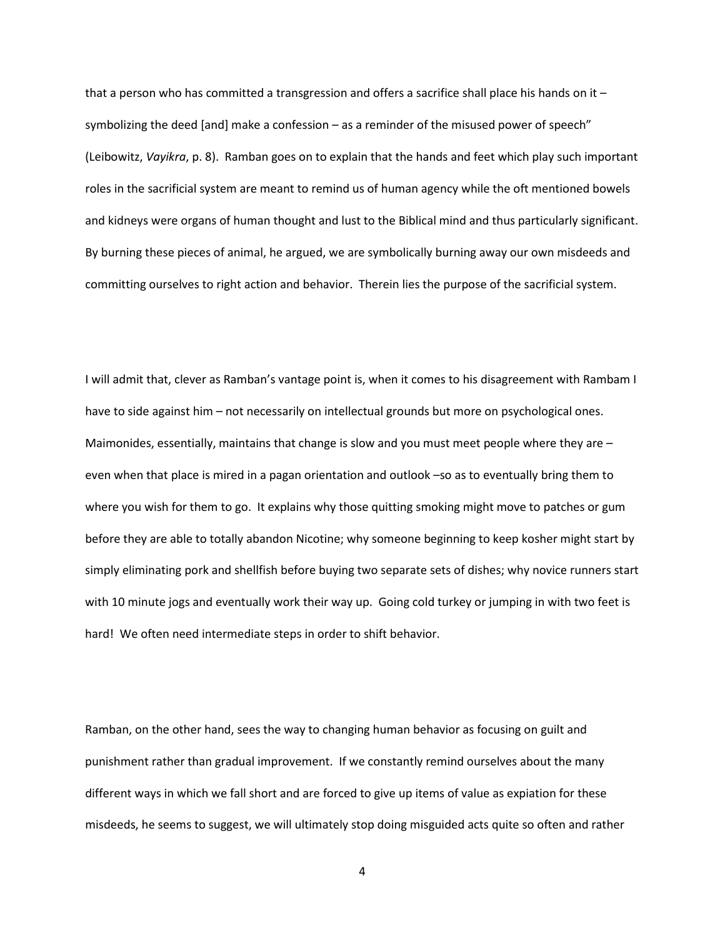that a person who has committed a transgression and offers a sacrifice shall place his hands on it  $$ symbolizing the deed [and] make a confession – as a reminder of the misused power of speech" (Leibowitz, *Vayikra*, p. 8). Ramban goes on to explain that the hands and feet which play such important roles in the sacrificial system are meant to remind us of human agency while the oft mentioned bowels and kidneys were organs of human thought and lust to the Biblical mind and thus particularly significant. By burning these pieces of animal, he argued, we are symbolically burning away our own misdeeds and committing ourselves to right action and behavior. Therein lies the purpose of the sacrificial system.

I will admit that, clever as Ramban's vantage point is, when it comes to his disagreement with Rambam I have to side against him – not necessarily on intellectual grounds but more on psychological ones. Maimonides, essentially, maintains that change is slow and you must meet people where they are even when that place is mired in a pagan orientation and outlook –so as to eventually bring them to where you wish for them to go. It explains why those quitting smoking might move to patches or gum before they are able to totally abandon Nicotine; why someone beginning to keep kosher might start by simply eliminating pork and shellfish before buying two separate sets of dishes; why novice runners start with 10 minute jogs and eventually work their way up. Going cold turkey or jumping in with two feet is hard! We often need intermediate steps in order to shift behavior.

Ramban, on the other hand, sees the way to changing human behavior as focusing on guilt and punishment rather than gradual improvement. If we constantly remind ourselves about the many different ways in which we fall short and are forced to give up items of value as expiation for these misdeeds, he seems to suggest, we will ultimately stop doing misguided acts quite so often and rather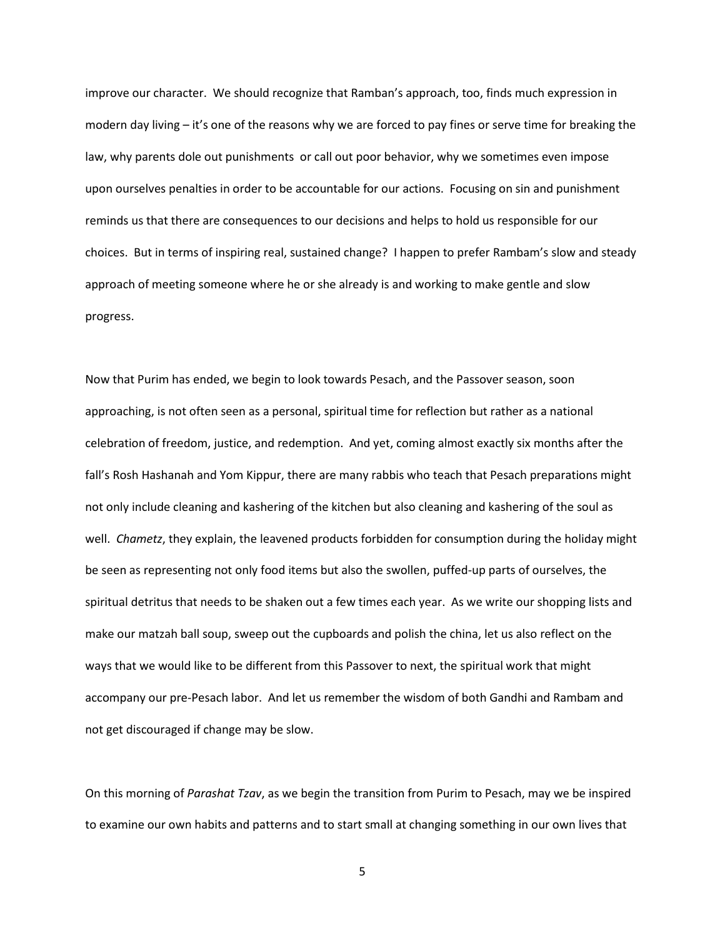improve our character. We should recognize that Ramban's approach, too, finds much expression in modern day living – it's one of the reasons why we are forced to pay fines or serve time for breaking the law, why parents dole out punishments or call out poor behavior, why we sometimes even impose upon ourselves penalties in order to be accountable for our actions. Focusing on sin and punishment reminds us that there are consequences to our decisions and helps to hold us responsible for our choices. But in terms of inspiring real, sustained change? I happen to prefer Rambam's slow and steady approach of meeting someone where he or she already is and working to make gentle and slow progress.

Now that Purim has ended, we begin to look towards Pesach, and the Passover season, soon approaching, is not often seen as a personal, spiritual time for reflection but rather as a national celebration of freedom, justice, and redemption. And yet, coming almost exactly six months after the fall's Rosh Hashanah and Yom Kippur, there are many rabbis who teach that Pesach preparations might not only include cleaning and kashering of the kitchen but also cleaning and kashering of the soul as well. *Chametz*, they explain, the leavened products forbidden for consumption during the holiday might be seen as representing not only food items but also the swollen, puffed-up parts of ourselves, the spiritual detritus that needs to be shaken out a few times each year. As we write our shopping lists and make our matzah ball soup, sweep out the cupboards and polish the china, let us also reflect on the ways that we would like to be different from this Passover to next, the spiritual work that might accompany our pre-Pesach labor. And let us remember the wisdom of both Gandhi and Rambam and not get discouraged if change may be slow.

On this morning of *Parashat Tzav*, as we begin the transition from Purim to Pesach, may we be inspired to examine our own habits and patterns and to start small at changing something in our own lives that

5